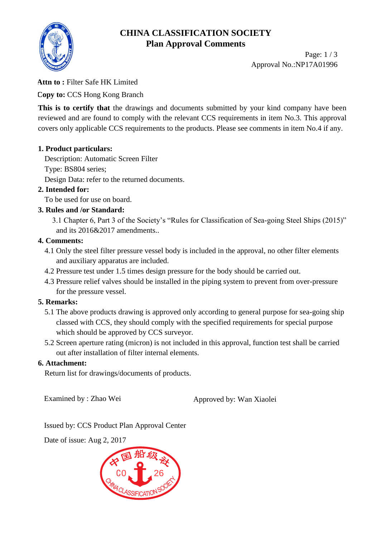



Page: 1 / 3 Approval No.:NP17A01996

## **Attn to :** Filter Safe HK Limited

**Copy to:** CCS Hong Kong Branch

This is to certify that the drawings and documents submitted by your kind company have been reviewed and are found to comply with the relevant CCS requirements in item No.3. This approval covers only applicable CCS requirements to the products. Please see comments in item No.4 if any.

#### **1. Product particulars:**

Description: Automatic Screen Filter Type: BS804 series; Design Data: refer to the returned documents.

## **2. Intended for:**

To be used for use on board.

### **3. Rules and /or Standard:**

 3.1 Chapter 6, Part 3 of the Society's "Rules for Classification of Sea-going Steel Ships (2015)" and its 2016&2017 amendments..

#### **4. Comments:**

- 4.1 Only the steel filter pressure vessel body is included in the approval, no other filter elements and auxiliary apparatus are included.
- 4.2 Pressure test under 1.5 times design pressure for the body should be carried out.
- 4.3 Pressure relief valves should be installed in the piping system to prevent from over-pressure for the pressure vessel.

## **5. Remarks:**

- 5.1 The above products drawing is approved only according to general purpose for sea-going ship classed with CCS, they should comply with the specified requirements for special purpose which should be approved by CCS surveyor.
- 5.2 Screen aperture rating (micron) is not included in this approval, function test shall be carried out after installation of filter internal elements.

#### **6. Attachment:**

Return list for drawings/documents of products.

Examined by : Zhao Wei Approved by: Wan Xiaolei

Issued by: CCS Product Plan Approval Center

Date of issue: Aug 2, 2017

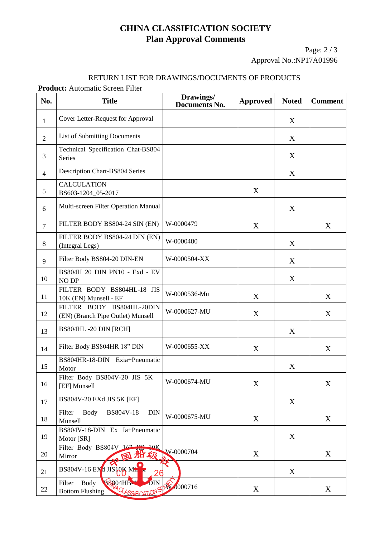# **CHINA CLASSIFICATION SOCIETY Plan Approval Comments**

Page: 2 / 3 Approval No.:NP17A01996

#### RETURN LIST FOR DRAWINGS/DOCUMENTS OF PRODUCTS

**Product:** Automatic Screen Filter

| No.            | <b>Title</b>                                                              | Drawings/<br><b>Documents No.</b> | <b>Approved</b> | <b>Noted</b> | <b>Comment</b> |
|----------------|---------------------------------------------------------------------------|-----------------------------------|-----------------|--------------|----------------|
| $\mathbf{1}$   | Cover Letter-Request for Approval                                         |                                   |                 | X            |                |
| $\overline{2}$ | <b>List of Submitting Documents</b>                                       |                                   |                 | X            |                |
| 3              | Technical Specification Chat-BS804<br>Series                              |                                   |                 | X            |                |
| $\overline{4}$ | Description Chart-BS804 Series                                            |                                   |                 | X            |                |
| 5              | <b>CALCULATION</b><br>BS603-1204_05-2017                                  |                                   | X               |              |                |
| 6              | Multi-screen Filter Operation Manual                                      |                                   |                 | X            |                |
| $\overline{7}$ | FILTER BODY BS804-24 SIN (EN)                                             | W-0000479                         | X               |              | X              |
| 8              | FILTER BODY BS804-24 DIN (EN)<br>(Integral Legs)                          | W-0000480                         |                 | X            |                |
| 9              | Filter Body BS804-20 DIN-EN                                               | W-0000504-XX                      |                 | X            |                |
| 10             | BS804H 20 DIN PN10 - Exd - EV<br><b>NO DP</b>                             |                                   |                 | X            |                |
| 11             | FILTER BODY BS804HL-18 JIS<br>10K (EN) Munsell - EF                       | W-0000536-Mu                      | X               |              | X              |
| 12             | FILTER BODY BS804HL-20DIN<br>(EN) (Branch Pipe Outlet) Munsell            | W-0000627-MU                      | X               |              | X              |
| 13             | BS804HL-20 DIN [RCH]                                                      |                                   |                 | X            |                |
| 14             | Filter Body BS804HR 18" DIN                                               | W-0000655-XX                      | X               |              | X              |
| 15             | BS804HR-18-DIN Exia+Pneumatic<br>Motor                                    |                                   |                 | X            |                |
| 16             | Filter Body BS804V-20 JIS 5K -<br>[EF] Munsell                            | W-0000674-MU                      | X               |              | X              |
| 17             | BS804V-20 EXd JIS 5K [EF]                                                 |                                   |                 | X            |                |
| 18             | <b>Body</b><br>BS804V-18<br><b>DIN</b><br>Filter<br>Munsell               | W-0000675-MU                      | X               |              | X              |
| 19             | BS804V-18-DIN Ex Ia+Pneumatic<br>Motor [SR]                               |                                   |                 | X            |                |
| 20             | Filter Body BS804V 16"<br>10K<br>船级<br>Mirror<br>囷                        | W-0000704                         | X               |              | X              |
| 21             | $BS804V-16$ EX <sup>d</sup> JIS $JOK$ Min                                 |                                   |                 | X            |                |
| 22             | BS804HB DIN OW 0000716<br><b>Body</b><br>Filter<br><b>Bottom Flushing</b> |                                   | X               |              | X              |